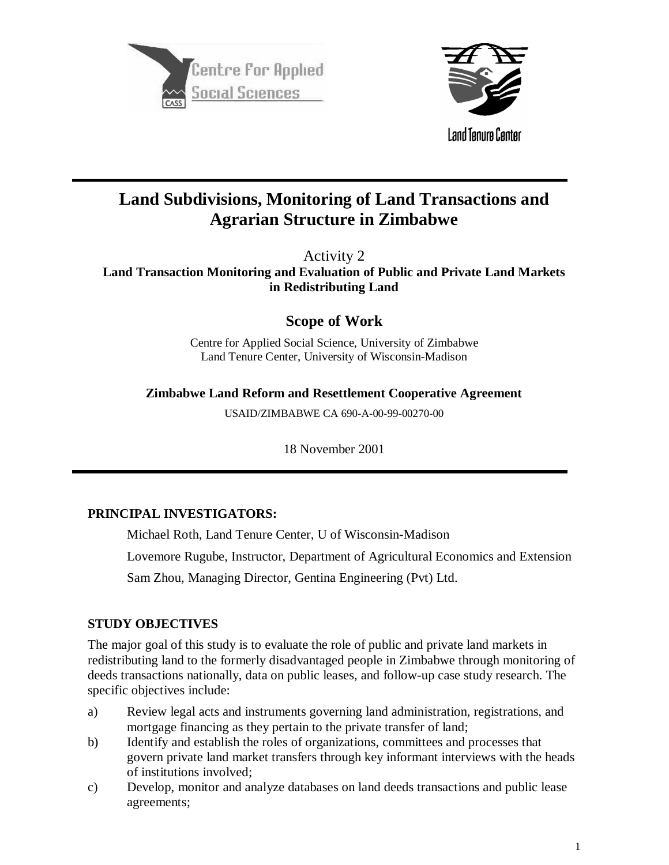



# **Land Subdivisions, Monitoring of Land Transactions and Agrarian Structure in Zimbabwe**

Activity 2

**Land Transaction Monitoring and Evaluation of Public and Private Land Markets in Redistributing Land**

**Scope of Work**

Centre for Applied Social Science, University of Zimbabwe Land Tenure Center, University of Wisconsin-Madison

**Zimbabwe Land Reform and Resettlement Cooperative Agreement**

USAID/ZIMBABWE CA 690-A-00-99-00270-00

18 November 2001

## **PRINCIPAL INVESTIGATORS:**

Michael Roth, Land Tenure Center, U of Wisconsin-Madison

Lovemore Rugube, Instructor, Department of Agricultural Economics and Extension

Sam Zhou, Managing Director, Gentina Engineering (Pvt) Ltd.

## **STUDY OBJECTIVES**

The major goal of this study is to evaluate the role of public and private land markets in redistributing land to the formerly disadvantaged people in Zimbabwe through monitoring of deeds transactions nationally, data on public leases, and follow-up case study research. The specific objectives include:

- a) Review legal acts and instruments governing land administration, registrations, and mortgage financing as they pertain to the private transfer of land;
- b) Identify and establish the roles of organizations, committees and processes that govern private land market transfers through key informant interviews with the heads of institutions involved;
- c) Develop, monitor and analyze databases on land deeds transactions and public lease agreements;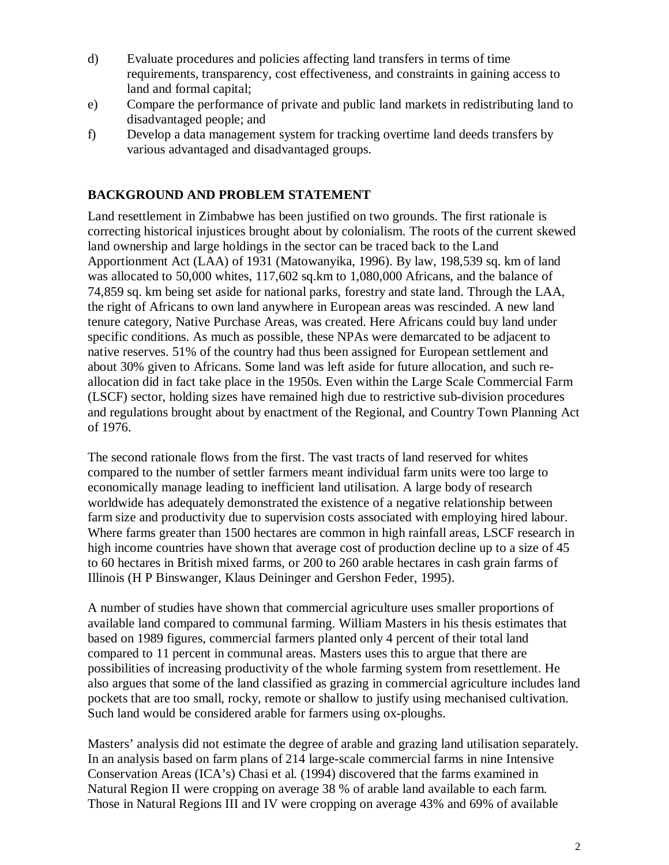- d) Evaluate procedures and policies affecting land transfers in terms of time requirements, transparency, cost effectiveness, and constraints in gaining access to land and formal capital;
- e) Compare the performance of private and public land markets in redistributing land to disadvantaged people; and
- f) Develop a data management system for tracking overtime land deeds transfers by various advantaged and disadvantaged groups.

## **BACKGROUND AND PROBLEM STATEMENT**

Land resettlement in Zimbabwe has been justified on two grounds. The first rationale is correcting historical injustices brought about by colonialism. The roots of the current skewed land ownership and large holdings in the sector can be traced back to the Land Apportionment Act (LAA) of 1931 (Matowanyika, 1996). By law, 198,539 sq. km of land was allocated to 50,000 whites, 117,602 sq.km to 1,080,000 Africans, and the balance of 74,859 sq. km being set aside for national parks, forestry and state land. Through the LAA, the right of Africans to own land anywhere in European areas was rescinded. A new land tenure category, Native Purchase Areas, was created. Here Africans could buy land under specific conditions. As much as possible, these NPAs were demarcated to be adjacent to native reserves. 51% of the country had thus been assigned for European settlement and about 30% given to Africans. Some land was left aside for future allocation, and such reallocation did in fact take place in the 1950s. Even within the Large Scale Commercial Farm (LSCF) sector, holding sizes have remained high due to restrictive sub-division procedures and regulations brought about by enactment of the Regional, and Country Town Planning Act of 1976.

The second rationale flows from the first. The vast tracts of land reserved for whites compared to the number of settler farmers meant individual farm units were too large to economically manage leading to inefficient land utilisation. A large body of research worldwide has adequately demonstrated the existence of a negative relationship between farm size and productivity due to supervision costs associated with employing hired labour. Where farms greater than 1500 hectares are common in high rainfall areas, LSCF research in high income countries have shown that average cost of production decline up to a size of 45 to 60 hectares in British mixed farms, or 200 to 260 arable hectares in cash grain farms of Illinois (H P Binswanger, Klaus Deininger and Gershon Feder, 1995).

A number of studies have shown that commercial agriculture uses smaller proportions of available land compared to communal farming. William Masters in his thesis estimates that based on 1989 figures, commercial farmers planted only 4 percent of their total land compared to 11 percent in communal areas. Masters uses this to argue that there are possibilities of increasing productivity of the whole farming system from resettlement. He also argues that some of the land classified as grazing in commercial agriculture includes land pockets that are too small, rocky, remote or shallow to justify using mechanised cultivation. Such land would be considered arable for farmers using ox-ploughs.

Masters' analysis did not estimate the degree of arable and grazing land utilisation separately. In an analysis based on farm plans of 214 large-scale commercial farms in nine Intensive Conservation Areas (ICA's) Chasi et al. (1994) discovered that the farms examined in Natural Region II were cropping on average 38 % of arable land available to each farm. Those in Natural Regions III and IV were cropping on average 43% and 69% of available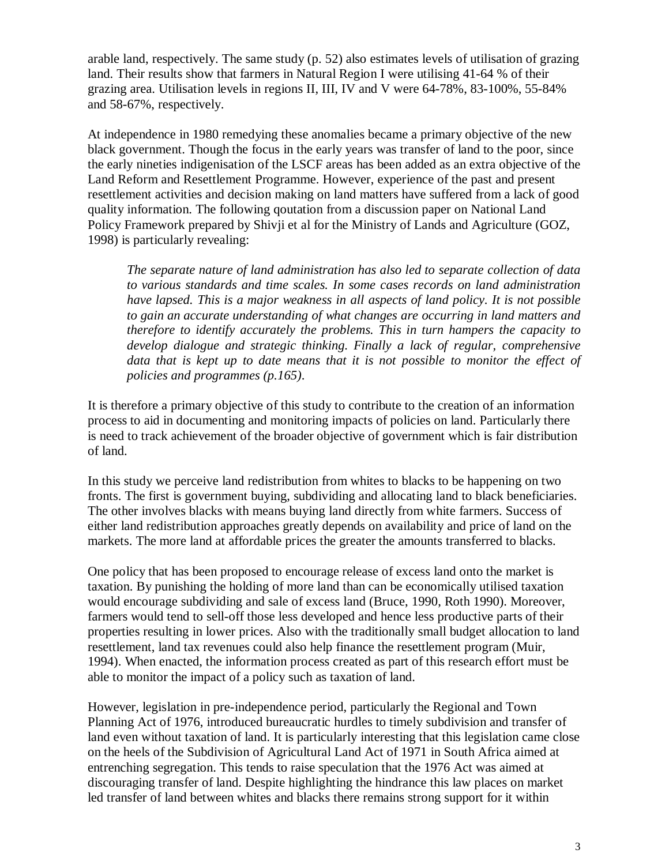arable land, respectively. The same study (p. 52) also estimates levels of utilisation of grazing land. Their results show that farmers in Natural Region I were utilising 41-64 % of their grazing area. Utilisation levels in regions II, III, IV and V were 64-78%, 83-100%, 55-84% and 58-67%, respectively.

At independence in 1980 remedying these anomalies became a primary objective of the new black government. Though the focus in the early years was transfer of land to the poor, since the early nineties indigenisation of the LSCF areas has been added as an extra objective of the Land Reform and Resettlement Programme. However, experience of the past and present resettlement activities and decision making on land matters have suffered from a lack of good quality information. The following qoutation from a discussion paper on National Land Policy Framework prepared by Shivji et al for the Ministry of Lands and Agriculture (GOZ, 1998) is particularly revealing:

*The separate nature of land administration has also led to separate collection of data to various standards and time scales. In some cases records on land administration have lapsed. This is a major weakness in all aspects of land policy. It is not possible to gain an accurate understanding of what changes are occurring in land matters and therefore to identify accurately the problems. This in turn hampers the capacity to develop dialogue and strategic thinking. Finally a lack of regular, comprehensive data that is kept up to date means that it is not possible to monitor the effect of policies and programmes (p.165)*.

It is therefore a primary objective of this study to contribute to the creation of an information process to aid in documenting and monitoring impacts of policies on land. Particularly there is need to track achievement of the broader objective of government which is fair distribution of land.

In this study we perceive land redistribution from whites to blacks to be happening on two fronts. The first is government buying, subdividing and allocating land to black beneficiaries. The other involves blacks with means buying land directly from white farmers. Success of either land redistribution approaches greatly depends on availability and price of land on the markets. The more land at affordable prices the greater the amounts transferred to blacks.

One policy that has been proposed to encourage release of excess land onto the market is taxation. By punishing the holding of more land than can be economically utilised taxation would encourage subdividing and sale of excess land (Bruce, 1990, Roth 1990). Moreover, farmers would tend to sell-off those less developed and hence less productive parts of their properties resulting in lower prices. Also with the traditionally small budget allocation to land resettlement, land tax revenues could also help finance the resettlement program (Muir, 1994). When enacted, the information process created as part of this research effort must be able to monitor the impact of a policy such as taxation of land.

However, legislation in pre-independence period, particularly the Regional and Town Planning Act of 1976, introduced bureaucratic hurdles to timely subdivision and transfer of land even without taxation of land. It is particularly interesting that this legislation came close on the heels of the Subdivision of Agricultural Land Act of 1971 in South Africa aimed at entrenching segregation. This tends to raise speculation that the 1976 Act was aimed at discouraging transfer of land. Despite highlighting the hindrance this law places on market led transfer of land between whites and blacks there remains strong support for it within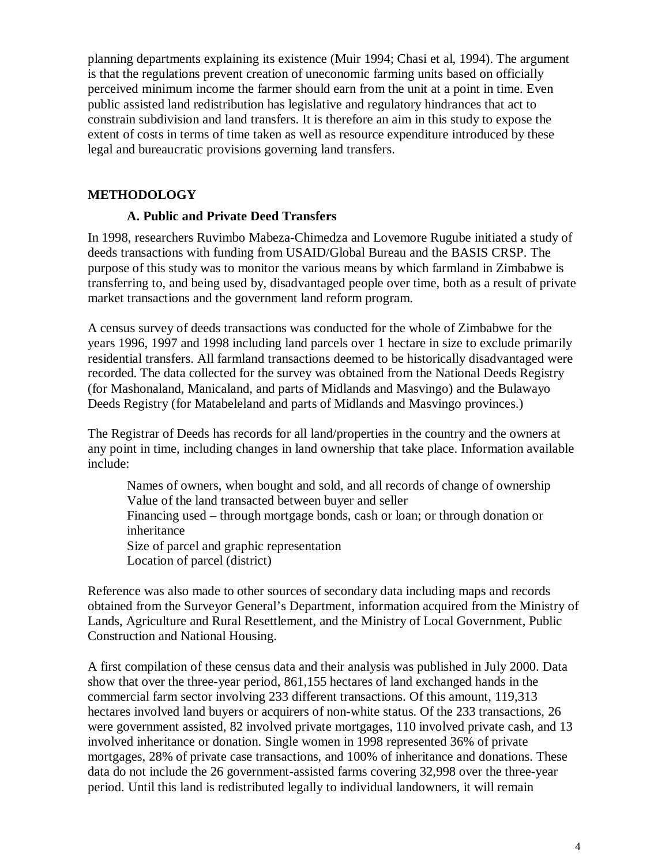planning departments explaining its existence (Muir 1994; Chasi et al, 1994). The argument is that the regulations prevent creation of uneconomic farming units based on officially perceived minimum income the farmer should earn from the unit at a point in time. Even public assisted land redistribution has legislative and regulatory hindrances that act to constrain subdivision and land transfers. It is therefore an aim in this study to expose the extent of costs in terms of time taken as well as resource expenditure introduced by these legal and bureaucratic provisions governing land transfers.

## **METHODOLOGY**

#### **A. Public and Private Deed Transfers**

In 1998, researchers Ruvimbo Mabeza-Chimedza and Lovemore Rugube initiated a study of deeds transactions with funding from USAID/Global Bureau and the BASIS CRSP. The purpose of this study was to monitor the various means by which farmland in Zimbabwe is transferring to, and being used by, disadvantaged people over time, both as a result of private market transactions and the government land reform program.

A census survey of deeds transactions was conducted for the whole of Zimbabwe for the years 1996, 1997 and 1998 including land parcels over 1 hectare in size to exclude primarily residential transfers. All farmland transactions deemed to be historically disadvantaged were recorded. The data collected for the survey was obtained from the National Deeds Registry (for Mashonaland, Manicaland, and parts of Midlands and Masvingo) and the Bulawayo Deeds Registry (for Matabeleland and parts of Midlands and Masvingo provinces.)

The Registrar of Deeds has records for all land/properties in the country and the owners at any point in time, including changes in land ownership that take place. Information available include:

Names of owners, when bought and sold, and all records of change of ownership Value of the land transacted between buyer and seller Financing used – through mortgage bonds, cash or loan; or through donation or inheritance Size of parcel and graphic representation Location of parcel (district)

Reference was also made to other sources of secondary data including maps and records obtained from the Surveyor General's Department, information acquired from the Ministry of Lands, Agriculture and Rural Resettlement, and the Ministry of Local Government, Public Construction and National Housing.

A first compilation of these census data and their analysis was published in July 2000. Data show that over the three-year period, 861,155 hectares of land exchanged hands in the commercial farm sector involving 233 different transactions. Of this amount, 119,313 hectares involved land buyers or acquirers of non-white status. Of the 233 transactions, 26 were government assisted, 82 involved private mortgages, 110 involved private cash, and 13 involved inheritance or donation. Single women in 1998 represented 36% of private mortgages, 28% of private case transactions, and 100% of inheritance and donations. These data do not include the 26 government-assisted farms covering 32,998 over the three-year period. Until this land is redistributed legally to individual landowners, it will remain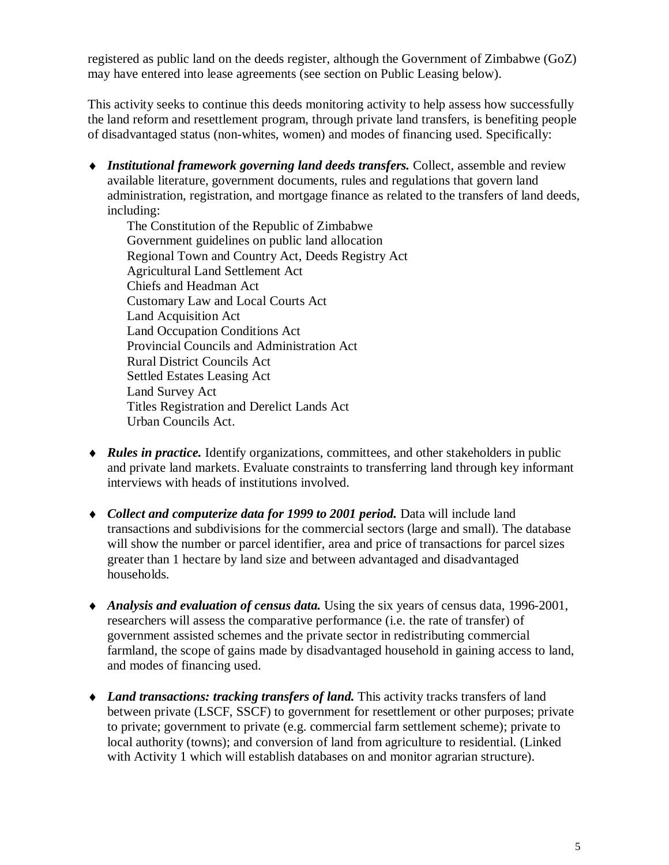registered as public land on the deeds register, although the Government of Zimbabwe (GoZ) may have entered into lease agreements (see section on Public Leasing below).

This activity seeks to continue this deeds monitoring activity to help assess how successfully the land reform and resettlement program, through private land transfers, is benefiting people of disadvantaged status (non-whites, women) and modes of financing used. Specifically:

♦ *Institutional framework governing land deeds transfers.* Collect, assemble and review available literature, government documents, rules and regulations that govern land administration, registration, and mortgage finance as related to the transfers of land deeds, including:

The Constitution of the Republic of Zimbabwe Government guidelines on public land allocation Regional Town and Country Act, Deeds Registry Act Agricultural Land Settlement Act Chiefs and Headman Act Customary Law and Local Courts Act Land Acquisition Act Land Occupation Conditions Act Provincial Councils and Administration Act Rural District Councils Act Settled Estates Leasing Act Land Survey Act Titles Registration and Derelict Lands Act Urban Councils Act.

- ♦ *Rules in practice.* Identify organizations, committees, and other stakeholders in public and private land markets. Evaluate constraints to transferring land through key informant interviews with heads of institutions involved.
- ♦ *Collect and computerize data for 1999 to 2001 period.* Data will include land transactions and subdivisions for the commercial sectors (large and small). The database will show the number or parcel identifier, area and price of transactions for parcel sizes greater than 1 hectare by land size and between advantaged and disadvantaged households.
- ♦ *Analysis and evaluation of census data.* Using the six years of census data, 1996-2001, researchers will assess the comparative performance (i.e. the rate of transfer) of government assisted schemes and the private sector in redistributing commercial farmland, the scope of gains made by disadvantaged household in gaining access to land, and modes of financing used.
- ♦ *Land transactions: tracking transfers of land.* This activity tracks transfers of land between private (LSCF, SSCF) to government for resettlement or other purposes; private to private; government to private (e.g. commercial farm settlement scheme); private to local authority (towns); and conversion of land from agriculture to residential. (Linked with Activity 1 which will establish databases on and monitor agrarian structure).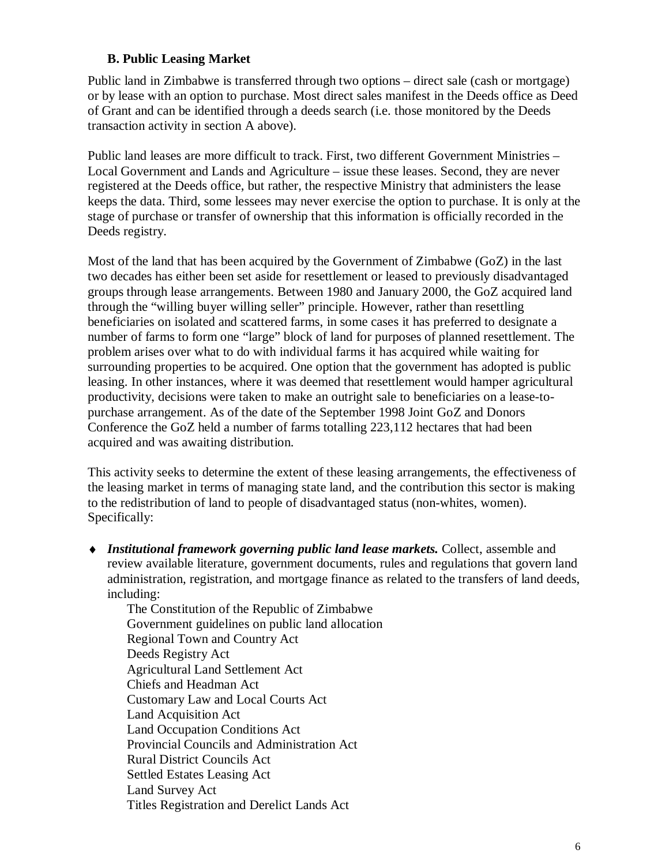## **B. Public Leasing Market**

Public land in Zimbabwe is transferred through two options – direct sale (cash or mortgage) or by lease with an option to purchase. Most direct sales manifest in the Deeds office as Deed of Grant and can be identified through a deeds search (i.e. those monitored by the Deeds transaction activity in section A above).

Public land leases are more difficult to track. First, two different Government Ministries – Local Government and Lands and Agriculture – issue these leases. Second, they are never registered at the Deeds office, but rather, the respective Ministry that administers the lease keeps the data. Third, some lessees may never exercise the option to purchase. It is only at the stage of purchase or transfer of ownership that this information is officially recorded in the Deeds registry.

Most of the land that has been acquired by the Government of Zimbabwe (GoZ) in the last two decades has either been set aside for resettlement or leased to previously disadvantaged groups through lease arrangements. Between 1980 and January 2000, the GoZ acquired land through the "willing buyer willing seller" principle. However, rather than resettling beneficiaries on isolated and scattered farms, in some cases it has preferred to designate a number of farms to form one "large" block of land for purposes of planned resettlement. The problem arises over what to do with individual farms it has acquired while waiting for surrounding properties to be acquired. One option that the government has adopted is public leasing. In other instances, where it was deemed that resettlement would hamper agricultural productivity, decisions were taken to make an outright sale to beneficiaries on a lease-topurchase arrangement. As of the date of the September 1998 Joint GoZ and Donors Conference the GoZ held a number of farms totalling 223,112 hectares that had been acquired and was awaiting distribution.

This activity seeks to determine the extent of these leasing arrangements, the effectiveness of the leasing market in terms of managing state land, and the contribution this sector is making to the redistribution of land to people of disadvantaged status (non-whites, women). Specifically:

♦ *Institutional framework governing public land lease markets.* Collect, assemble and review available literature, government documents, rules and regulations that govern land administration, registration, and mortgage finance as related to the transfers of land deeds, including:

The Constitution of the Republic of Zimbabwe Government guidelines on public land allocation Regional Town and Country Act Deeds Registry Act Agricultural Land Settlement Act Chiefs and Headman Act Customary Law and Local Courts Act Land Acquisition Act Land Occupation Conditions Act Provincial Councils and Administration Act Rural District Councils Act Settled Estates Leasing Act Land Survey Act Titles Registration and Derelict Lands Act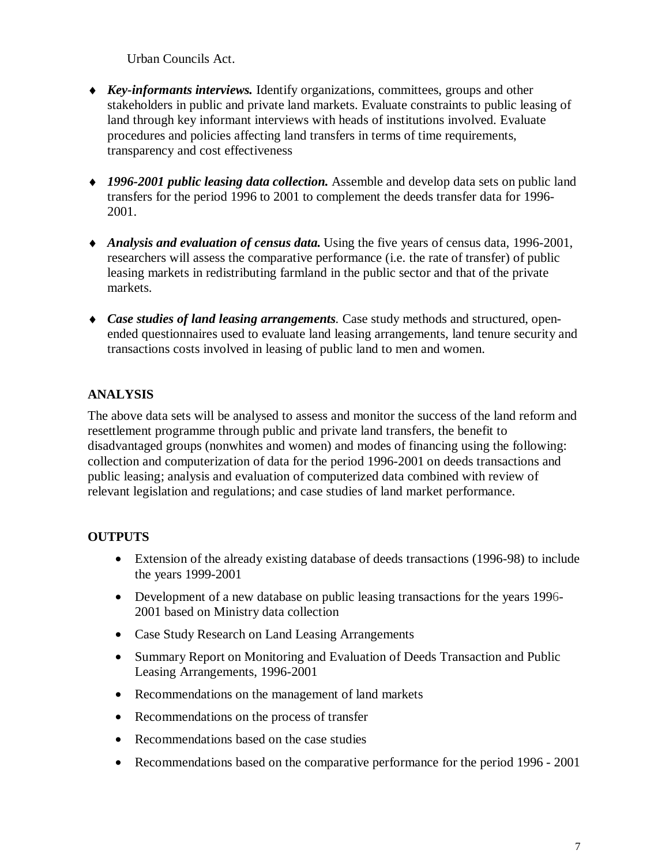Urban Councils Act.

- ♦ *Key-informants interviews.* Identify organizations, committees, groups and other stakeholders in public and private land markets. Evaluate constraints to public leasing of land through key informant interviews with heads of institutions involved. Evaluate procedures and policies affecting land transfers in terms of time requirements, transparency and cost effectiveness
- ♦ *1996-2001 public leasing data collection.* Assemble and develop data sets on public land transfers for the period 1996 to 2001 to complement the deeds transfer data for 1996- 2001.
- ♦ *Analysis and evaluation of census data.* Using the five years of census data, 1996-2001, researchers will assess the comparative performance (i.e. the rate of transfer) of public leasing markets in redistributing farmland in the public sector and that of the private markets.
- ♦ *Case studies of land leasing arrangements.* Case study methods and structured, openended questionnaires used to evaluate land leasing arrangements, land tenure security and transactions costs involved in leasing of public land to men and women.

## **ANALYSIS**

The above data sets will be analysed to assess and monitor the success of the land reform and resettlement programme through public and private land transfers, the benefit to disadvantaged groups (nonwhites and women) and modes of financing using the following: collection and computerization of data for the period 1996-2001 on deeds transactions and public leasing; analysis and evaluation of computerized data combined with review of relevant legislation and regulations; and case studies of land market performance.

## **OUTPUTS**

- Extension of the already existing database of deeds transactions (1996-98) to include the years 1999-2001
- Development of a new database on public leasing transactions for the years 1996-2001 based on Ministry data collection
- Case Study Research on Land Leasing Arrangements
- Summary Report on Monitoring and Evaluation of Deeds Transaction and Public Leasing Arrangements, 1996-2001
- Recommendations on the management of land markets
- Recommendations on the process of transfer
- Recommendations based on the case studies
- Recommendations based on the comparative performance for the period 1996 2001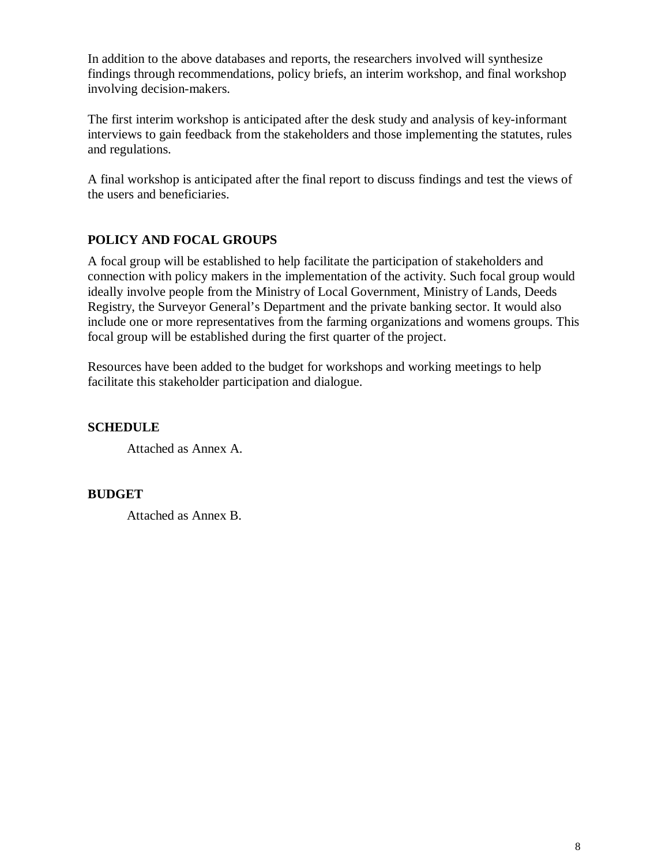In addition to the above databases and reports, the researchers involved will synthesize findings through recommendations, policy briefs, an interim workshop, and final workshop involving decision-makers.

The first interim workshop is anticipated after the desk study and analysis of key-informant interviews to gain feedback from the stakeholders and those implementing the statutes, rules and regulations.

A final workshop is anticipated after the final report to discuss findings and test the views of the users and beneficiaries.

## **POLICY AND FOCAL GROUPS**

A focal group will be established to help facilitate the participation of stakeholders and connection with policy makers in the implementation of the activity. Such focal group would ideally involve people from the Ministry of Local Government, Ministry of Lands, Deeds Registry, the Surveyor General's Department and the private banking sector. It would also include one or more representatives from the farming organizations and womens groups. This focal group will be established during the first quarter of the project.

Resources have been added to the budget for workshops and working meetings to help facilitate this stakeholder participation and dialogue.

**SCHEDULE**

Attached as Annex A.

#### **BUDGET**

Attached as Annex B.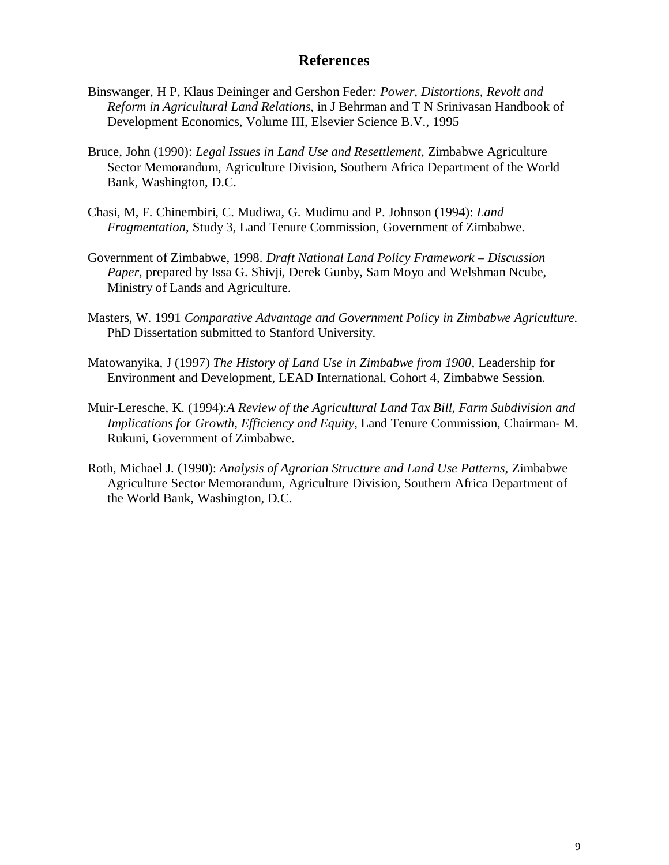## **References**

- Binswanger, H P, Klaus Deininger and Gershon Feder*: Power, Distortions, Revolt and Reform in Agricultural Land Relations*, in J Behrman and T N Srinivasan Handbook of Development Economics, Volume III, Elsevier Science B.V., 1995
- Bruce, John (1990): *Legal Issues in Land Use and Resettlement*, Zimbabwe Agriculture Sector Memorandum, Agriculture Division, Southern Africa Department of the World Bank, Washington, D.C.
- Chasi, M, F. Chinembiri, C. Mudiwa, G. Mudimu and P. Johnson (1994): *Land Fragmentation*, Study 3, Land Tenure Commission, Government of Zimbabwe.
- Government of Zimbabwe, 1998. *Draft National Land Policy Framework Discussion Paper*, prepared by Issa G. Shivji, Derek Gunby, Sam Moyo and Welshman Ncube, Ministry of Lands and Agriculture.
- Masters, W. 1991 *Comparative Advantage and Government Policy in Zimbabwe Agriculture.* PhD Dissertation submitted to Stanford University.
- Matowanyika, J (1997) *The History of Land Use in Zimbabwe from 1900*, Leadership for Environment and Development, LEAD International, Cohort 4, Zimbabwe Session.
- Muir-Leresche, K. (1994):*A Review of the Agricultural Land Tax Bill, Farm Subdivision and Implications for Growth, Efficiency and Equity*, Land Tenure Commission, Chairman- M. Rukuni, Government of Zimbabwe.
- Roth, Michael J. (1990): *Analysis of Agrarian Structure and Land Use Patterns*, Zimbabwe Agriculture Sector Memorandum, Agriculture Division, Southern Africa Department of the World Bank, Washington, D.C.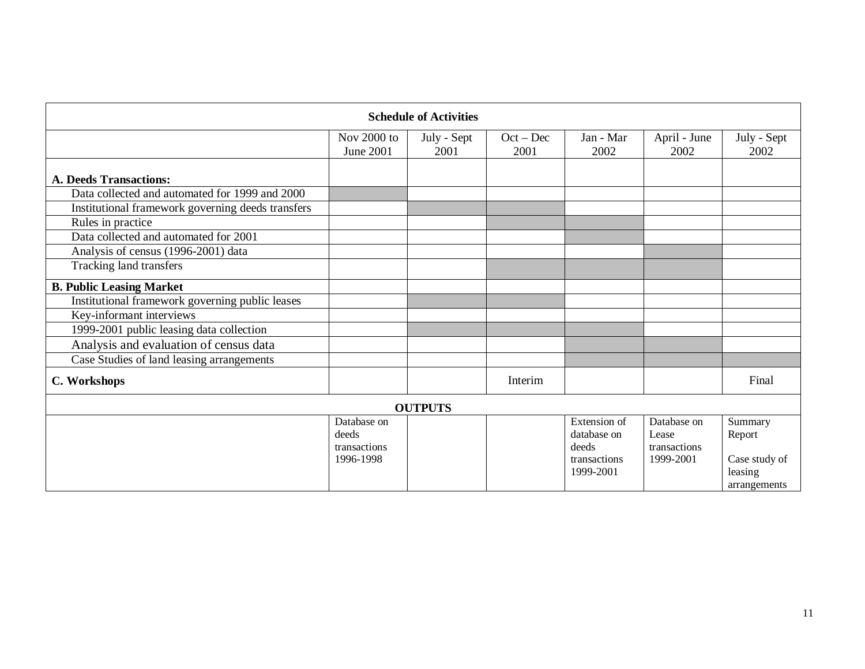| <b>Schedule of Activities</b>                     |                                                   |                     |                     |                                                                   |                                                   |                                                               |  |  |  |
|---------------------------------------------------|---------------------------------------------------|---------------------|---------------------|-------------------------------------------------------------------|---------------------------------------------------|---------------------------------------------------------------|--|--|--|
|                                                   | Nov 2000 to<br>June 2001                          | July - Sept<br>2001 | $Oct - Dec$<br>2001 | Jan - Mar<br>2002                                                 | April - June<br>2002                              | July - Sept<br>2002                                           |  |  |  |
| <b>A. Deeds Transactions:</b>                     |                                                   |                     |                     |                                                                   |                                                   |                                                               |  |  |  |
| Data collected and automated for 1999 and 2000    |                                                   |                     |                     |                                                                   |                                                   |                                                               |  |  |  |
| Institutional framework governing deeds transfers |                                                   |                     |                     |                                                                   |                                                   |                                                               |  |  |  |
| Rules in practice                                 |                                                   |                     |                     |                                                                   |                                                   |                                                               |  |  |  |
| Data collected and automated for 2001             |                                                   |                     |                     |                                                                   |                                                   |                                                               |  |  |  |
| Analysis of census (1996-2001) data               |                                                   |                     |                     |                                                                   |                                                   |                                                               |  |  |  |
| Tracking land transfers                           |                                                   |                     |                     |                                                                   |                                                   |                                                               |  |  |  |
| <b>B. Public Leasing Market</b>                   |                                                   |                     |                     |                                                                   |                                                   |                                                               |  |  |  |
| Institutional framework governing public leases   |                                                   |                     |                     |                                                                   |                                                   |                                                               |  |  |  |
| Key-informant interviews                          |                                                   |                     |                     |                                                                   |                                                   |                                                               |  |  |  |
| 1999-2001 public leasing data collection          |                                                   |                     |                     |                                                                   |                                                   |                                                               |  |  |  |
| Analysis and evaluation of census data            |                                                   |                     |                     |                                                                   |                                                   |                                                               |  |  |  |
| Case Studies of land leasing arrangements         |                                                   |                     |                     |                                                                   |                                                   |                                                               |  |  |  |
| C. Workshops                                      |                                                   |                     | Interim             |                                                                   |                                                   | Final                                                         |  |  |  |
| <b>OUTPUTS</b>                                    |                                                   |                     |                     |                                                                   |                                                   |                                                               |  |  |  |
|                                                   | Database on<br>deeds<br>transactions<br>1996-1998 |                     |                     | Extension of<br>database on<br>deeds<br>transactions<br>1999-2001 | Database on<br>Lease<br>transactions<br>1999-2001 | Summary<br>Report<br>Case study of<br>leasing<br>arrangements |  |  |  |